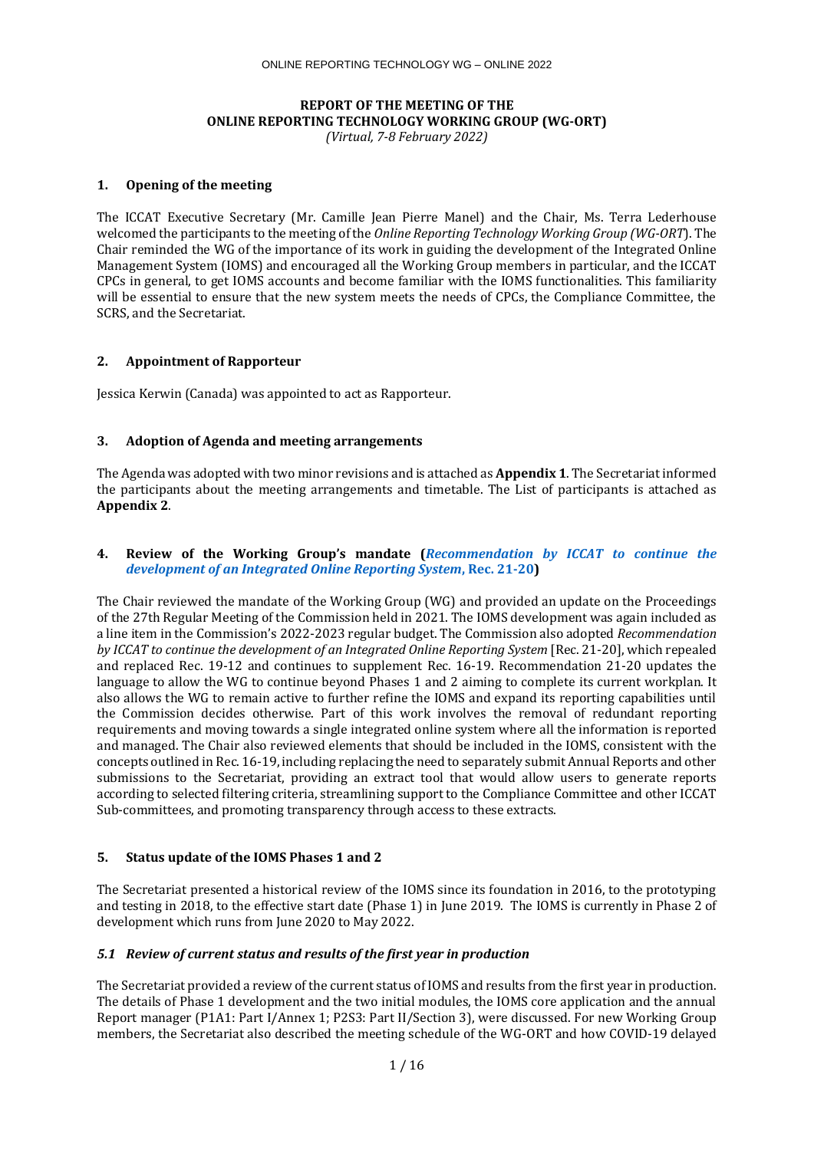# **REPORT OF THE MEETING OF THE ONLINE REPORTING TECHNOLOGY WORKING GROUP (WG-ORT)**

*(Virtual, 7-8 February 2022)*

## **1. Opening of the meeting**

The ICCAT Executive Secretary (Mr. Camille Jean Pierre Manel) and the Chair, Ms. Terra Lederhouse welcomed the participants to the meeting of the *Online Reporting Technology Working Group (WG-ORT*). The Chair reminded the WG of the importance of its work in guiding the development of the Integrated Online Management System (IOMS) and encouraged all the Working Group members in particular, and the ICCAT CPCs in general, to get IOMS accounts and become familiar with the IOMS functionalities. This familiarity will be essential to ensure that the new system meets the needs of CPCs, the Compliance Committee, the SCRS, and the Secretariat.

## **2. Appointment of Rapporteur**

Jessica Kerwin (Canada) was appointed to act as Rapporteur.

# **3. Adoption of Agenda and meeting arrangements**

The Agenda was adopted with two minor revisions and is attached as **Appendix 1**. The Secretariat informed the participants about the meeting arrangements and timetable. The List of participants is attached as **Appendix 2**.

## **4. Review of the Working Group's mandate (***[Recommendation by ICCAT to continue the](https://www.iccat.int/Documents/Recs/compendiopdf-e/2021-20-e.pdf)  [development of an Integrated Online Reporting System](https://www.iccat.int/Documents/Recs/compendiopdf-e/2021-20-e.pdf)***, Rec. 21-20)**

The Chair reviewed the mandate of the Working Group (WG) and provided an update on the Proceedings of the 27th Regular Meeting of the Commission held in 2021. The IOMS development was again included as a line item in the Commission's 2022-2023 regular budget. The Commission also adopted *Recommendation by ICCAT to continue the development of an Integrated Online Reporting System* [Rec. 21-20], which repealed and replaced Rec. 19-12 and continues to supplement Rec. 16-19. Recommendation 21-20 updates the language to allow the WG to continue beyond Phases 1 and 2 aiming to complete its current workplan. It also allows the WG to remain active to further refine the IOMS and expand its reporting capabilities until the Commission decides otherwise. Part of this work involves the removal of redundant reporting requirements and moving towards a single integrated online system where all the information is reported and managed. The Chair also reviewed elements that should be included in the IOMS, consistent with the concepts outlined in Rec. 16-19, including replacing the need to separately submit Annual Reports and other submissions to the Secretariat, providing an extract tool that would allow users to generate reports according to selected filtering criteria, streamlining support to the Compliance Committee and other ICCAT Sub-committees, and promoting transparency through access to these extracts.

## **5. Status update of the IOMS Phases 1 and 2**

The Secretariat presented a historical review of the IOMS since its foundation in 2016, to the prototyping and testing in 2018, to the effective start date (Phase 1) in June 2019. The IOMS is currently in Phase 2 of development which runs from June 2020 to May 2022.

## *5.1 Review of current status and results of the first year in production*

The Secretariat provided a review of the current status of IOMS and results from the first year in production. The details of Phase 1 development and the two initial modules, the IOMS core application and the annual Report manager (P1A1: Part I/Annex 1; P2S3: Part II/Section 3), were discussed. For new Working Group members, the Secretariat also described the meeting schedule of the WG-ORT and how COVID-19 delayed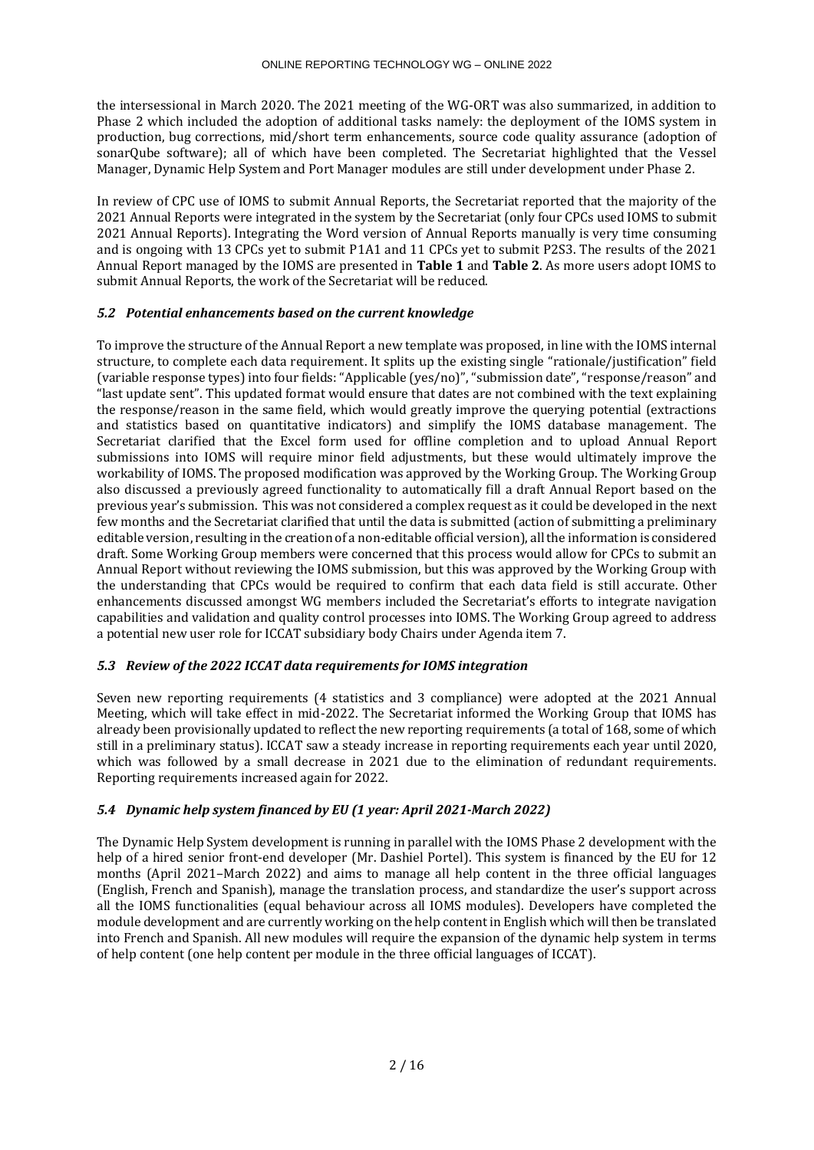the intersessional in March 2020. The 2021 meeting of the WG-ORT was also summarized, in addition to Phase 2 which included the adoption of additional tasks namely: the deployment of the IOMS system in production, bug corrections, mid/short term enhancements, source code quality assurance (adoption of sonarQube software); all of which have been completed. The Secretariat highlighted that the Vessel Manager, Dynamic Help System and Port Manager modules are still under development under Phase 2.

In review of CPC use of IOMS to submit Annual Reports, the Secretariat reported that the majority of the 2021 Annual Reports were integrated in the system by the Secretariat (only four CPCs used IOMS to submit 2021 Annual Reports). Integrating the Word version of Annual Reports manually is very time consuming and is ongoing with 13 CPCs yet to submit P1A1 and 11 CPCs yet to submit P2S3. The results of the 2021 Annual Report managed by the IOMS are presented in **Table 1** and **Table 2**. As more users adopt IOMS to submit Annual Reports, the work of the Secretariat will be reduced.

# *5.2 Potential enhancements based on the current knowledge*

To improve the structure of the Annual Report a new template was proposed, in line with the IOMS internal structure, to complete each data requirement. It splits up the existing single "rationale/justification" field (variable response types) into four fields: "Applicable (yes/no)", "submission date", "response/reason" and "last update sent". This updated format would ensure that dates are not combined with the text explaining the response/reason in the same field, which would greatly improve the querying potential (extractions and statistics based on quantitative indicators) and simplify the IOMS database management. The Secretariat clarified that the Excel form used for offline completion and to upload Annual Report submissions into IOMS will require minor field adjustments, but these would ultimately improve the workability of IOMS. The proposed modification was approved by the Working Group. The Working Group also discussed a previously agreed functionality to automatically fill a draft Annual Report based on the previous year's submission. This was not considered a complex request as it could be developed in the next few months and the Secretariat clarified that until the data is submitted (action of submitting a preliminary editable version, resulting in the creation of a non-editable official version), all the information is considered draft. Some Working Group members were concerned that this process would allow for CPCs to submit an Annual Report without reviewing the IOMS submission, but this was approved by the Working Group with the understanding that CPCs would be required to confirm that each data field is still accurate. Other enhancements discussed amongst WG members included the Secretariat's efforts to integrate navigation capabilities and validation and quality control processes into IOMS. The Working Group agreed to address a potential new user role for ICCAT subsidiary body Chairs under Agenda item 7.

# *5.3 Review of the 2022 ICCAT data requirements for IOMS integration*

Seven new reporting requirements (4 statistics and 3 compliance) were adopted at the 2021 Annual Meeting, which will take effect in mid-2022. The Secretariat informed the Working Group that IOMS has already been provisionally updated to reflect the new reporting requirements (a total of 168, some of which still in a preliminary status). ICCAT saw a steady increase in reporting requirements each year until 2020, which was followed by a small decrease in 2021 due to the elimination of redundant requirements. Reporting requirements increased again for 2022.

# *5.4 Dynamic help system financed by EU (1 year: April 2021-March 2022)*

The Dynamic Help System development is running in parallel with the IOMS Phase 2 development with the help of a hired senior front-end developer (Mr. Dashiel Portel). This system is financed by the EU for 12 months (April 2021–March 2022) and aims to manage all help content in the three official languages (English, French and Spanish), manage the translation process, and standardize the user's support across all the IOMS functionalities (equal behaviour across all IOMS modules). Developers have completed the module development and are currently working on the help content in English which will then be translated into French and Spanish. All new modules will require the expansion of the dynamic help system in terms of help content (one help content per module in the three official languages of ICCAT).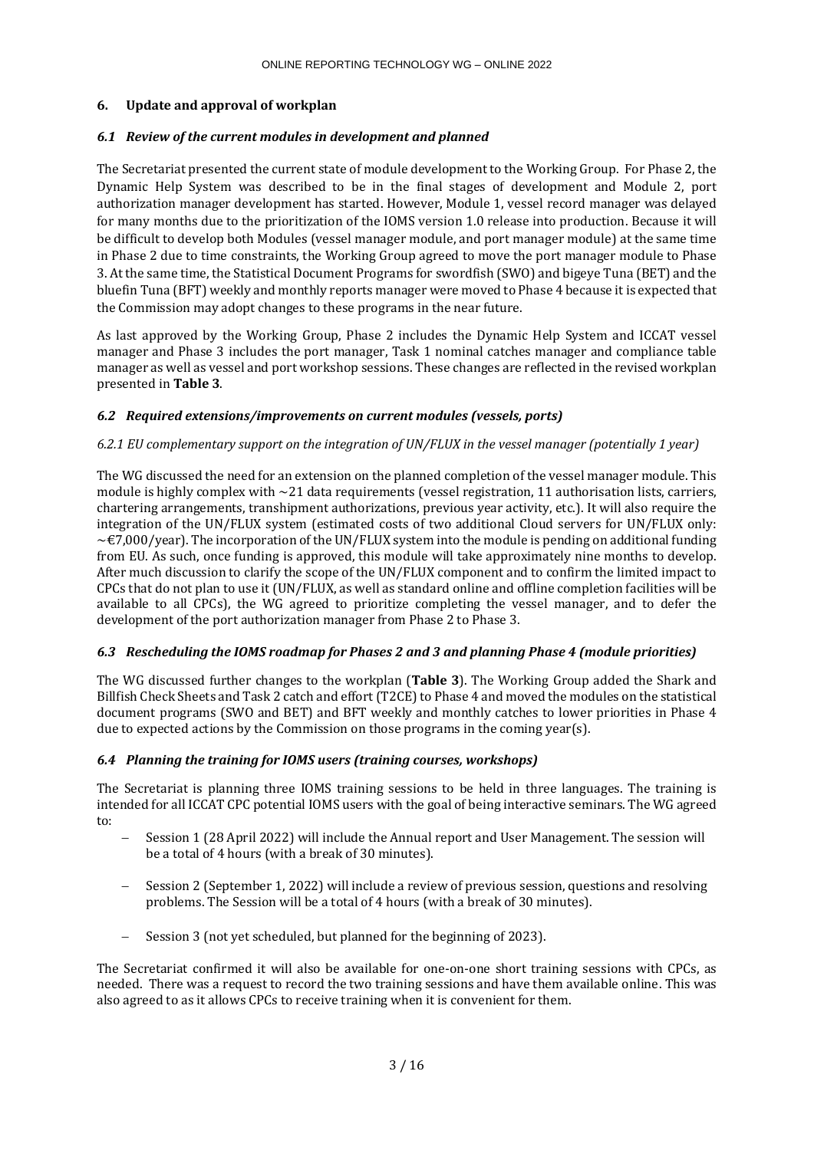# **6. Update and approval of workplan**

# *6.1 Review of the current modules in development and planned*

The Secretariat presented the current state of module development to the Working Group. For Phase 2, the Dynamic Help System was described to be in the final stages of development and Module 2, port authorization manager development has started. However, Module 1, vessel record manager was delayed for many months due to the prioritization of the IOMS version 1.0 release into production. Because it will be difficult to develop both Modules (vessel manager module, and port manager module) at the same time in Phase 2 due to time constraints, the Working Group agreed to move the port manager module to Phase 3. At the same time, the Statistical Document Programs for swordfish (SWO) and bigeye Tuna (BET) and the bluefin Tuna (BFT) weekly and monthly reports manager were moved to Phase 4 because it is expected that the Commission may adopt changes to these programs in the near future.

As last approved by the Working Group, Phase 2 includes the Dynamic Help System and ICCAT vessel manager and Phase 3 includes the port manager, Task 1 nominal catches manager and compliance table manager as well as vessel and port workshop sessions. These changes are reflected in the revised workplan presented in **Table 3**.

# *6.2 Required extensions/improvements on current modules (vessels, ports)*

# *6.2.1 EU complementary support on the integration of UN/FLUX in the vessel manager (potentially 1 year)*

The WG discussed the need for an extension on the planned completion of the vessel manager module. This module is highly complex with  $\sim$  21 data requirements (vessel registration, 11 authorisation lists, carriers, chartering arrangements, transhipment authorizations, previous year activity, etc.). It will also require the integration of the UN/FLUX system (estimated costs of two additional Cloud servers for UN/FLUX only:  $\sim$  €7,000/year). The incorporation of the UN/FLUX system into the module is pending on additional funding from EU. As such, once funding is approved, this module will take approximately nine months to develop. After much discussion to clarify the scope of the UN/FLUX component and to confirm the limited impact to CPCs that do not plan to use it (UN/FLUX, as well as standard online and offline completion facilities will be available to all CPCs), the WG agreed to prioritize completing the vessel manager, and to defer the development of the port authorization manager from Phase 2 to Phase 3.

## *6.3 Rescheduling the IOMS roadmap for Phases 2 and 3 and planning Phase 4 (module priorities)*

The WG discussed further changes to the workplan (**Table 3**). The Working Group added the Shark and Billfish Check Sheets and Task 2 catch and effort (T2CE) to Phase 4 and moved the modules on the statistical document programs (SWO and BET) and BFT weekly and monthly catches to lower priorities in Phase 4 due to expected actions by the Commission on those programs in the coming year(s).

# *6.4 Planning the training for IOMS users (training courses, workshops)*

The Secretariat is planning three IOMS training sessions to be held in three languages. The training is intended for all ICCAT CPC potential IOMS users with the goal of being interactive seminars. The WG agreed to:

- − Session 1 (28 April 2022) will include the Annual report and User Management. The session will be a total of 4 hours (with a break of 30 minutes).
- Session 2 (September 1, 2022) will include a review of previous session, questions and resolving problems. The Session will be a total of 4 hours (with a break of 30 minutes).
- − Session 3 (not yet scheduled, but planned for the beginning of 2023).

The Secretariat confirmed it will also be available for one-on-one short training sessions with CPCs, as needed. There was a request to record the two training sessions and have them available online. This was also agreed to as it allows CPCs to receive training when it is convenient for them.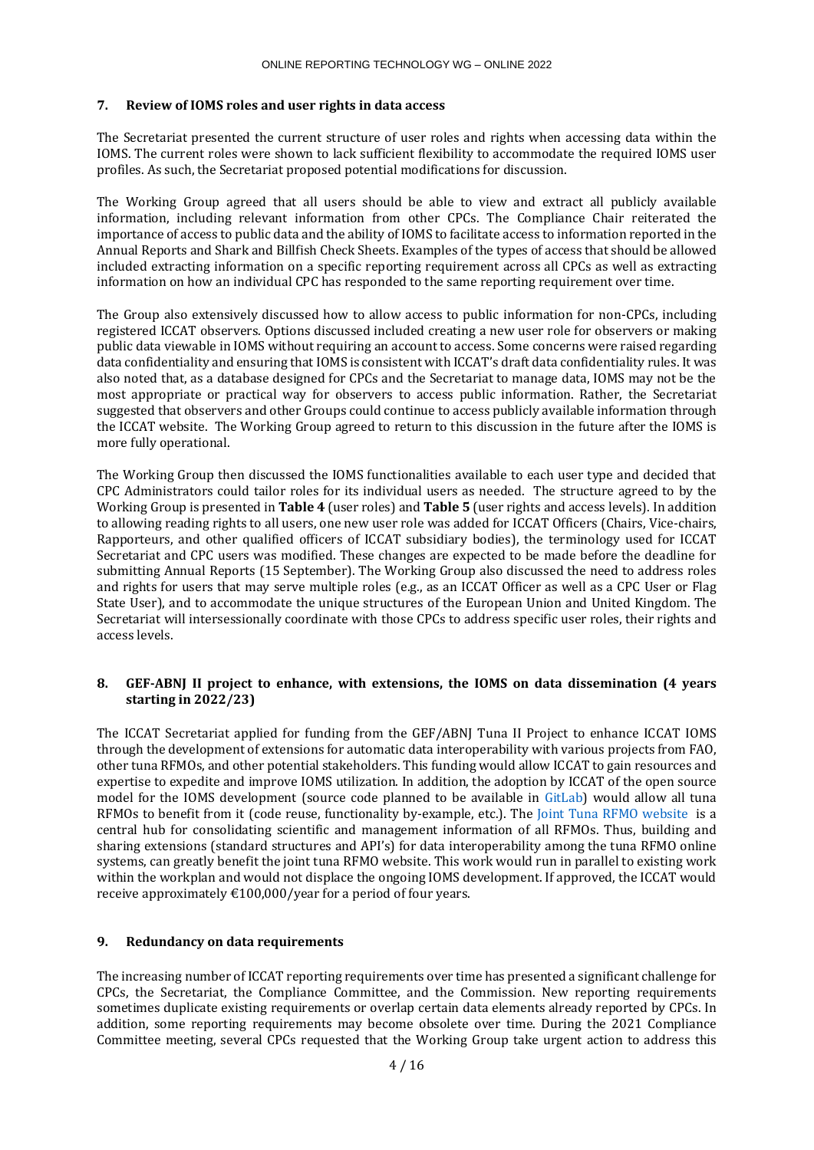## **7. Review of IOMS roles and user rights in data access**

The Secretariat presented the current structure of user roles and rights when accessing data within the IOMS. The current roles were shown to lack sufficient flexibility to accommodate the required IOMS user profiles. As such, the Secretariat proposed potential modifications for discussion.

The Working Group agreed that all users should be able to view and extract all publicly available information, including relevant information from other CPCs. The Compliance Chair reiterated the importance of access to public data and the ability of IOMS to facilitate access to information reported in the Annual Reports and Shark and Billfish Check Sheets. Examples of the types of access that should be allowed included extracting information on a specific reporting requirement across all CPCs as well as extracting information on how an individual CPC has responded to the same reporting requirement over time.

The Group also extensively discussed how to allow access to public information for non-CPCs, including registered ICCAT observers. Options discussed included creating a new user role for observers or making public data viewable in IOMS without requiring an account to access. Some concerns were raised regarding data confidentiality and ensuring that IOMS is consistent with ICCAT's draft data confidentiality rules. It was also noted that, as a database designed for CPCs and the Secretariat to manage data, IOMS may not be the most appropriate or practical way for observers to access public information. Rather, the Secretariat suggested that observers and other Groups could continue to access publicly available information through the ICCAT website. The Working Group agreed to return to this discussion in the future after the IOMS is more fully operational.

The Working Group then discussed the IOMS functionalities available to each user type and decided that CPC Administrators could tailor roles for its individual users as needed. The structure agreed to by the Working Group is presented in **Table 4** (user roles) and **Table 5** (user rights and access levels). In addition to allowing reading rights to all users, one new user role was added for ICCAT Officers (Chairs, Vice-chairs, Rapporteurs, and other qualified officers of ICCAT subsidiary bodies), the terminology used for ICCAT Secretariat and CPC users was modified. These changes are expected to be made before the deadline for submitting Annual Reports (15 September). The Working Group also discussed the need to address roles and rights for users that may serve multiple roles (e.g., as an ICCAT Officer as well as a CPC User or Flag State User), and to accommodate the unique structures of the European Union and United Kingdom. The Secretariat will intersessionally coordinate with those CPCs to address specific user roles, their rights and access levels.

## **8. GEF-ABNJ II project to enhance, with extensions, the IOMS on data dissemination (4 years starting in 2022/23)**

The ICCAT Secretariat applied for funding from the GEF/ABNJ Tuna II Project to enhance ICCAT IOMS through the development of extensions for automatic data interoperability with various projects from FAO, other tuna RFMOs, and other potential stakeholders. This funding would allow ICCAT to gain resources and expertise to expedite and improve IOMS utilization. In addition, the adoption by ICCAT of the open source model for the IOMS development (source code planned to be available in [GitLab\)](https://www.gitlab.com/) would allow all tuna RFMOs to benefit from it (code reuse, functionality by-example, etc.). The [Joint Tuna RFMO website](http://www.tuna-org.org/) is a central hub for consolidating scientific and management information of all RFMOs. Thus, building and sharing extensions (standard structures and API's) for data interoperability among the tuna RFMO online systems, can greatly benefit the joint tuna RFMO website. This work would run in parallel to existing work within the workplan and would not displace the ongoing IOMS development. If approved, the ICCAT would receive approximately €100,000/year for a period of four years.

## **9. Redundancy on data requirements**

The increasing number of ICCAT reporting requirements over time has presented a significant challenge for CPCs, the Secretariat, the Compliance Committee, and the Commission. New reporting requirements sometimes duplicate existing requirements or overlap certain data elements already reported by CPCs. In addition, some reporting requirements may become obsolete over time. During the 2021 Compliance Committee meeting, several CPCs requested that the Working Group take urgent action to address this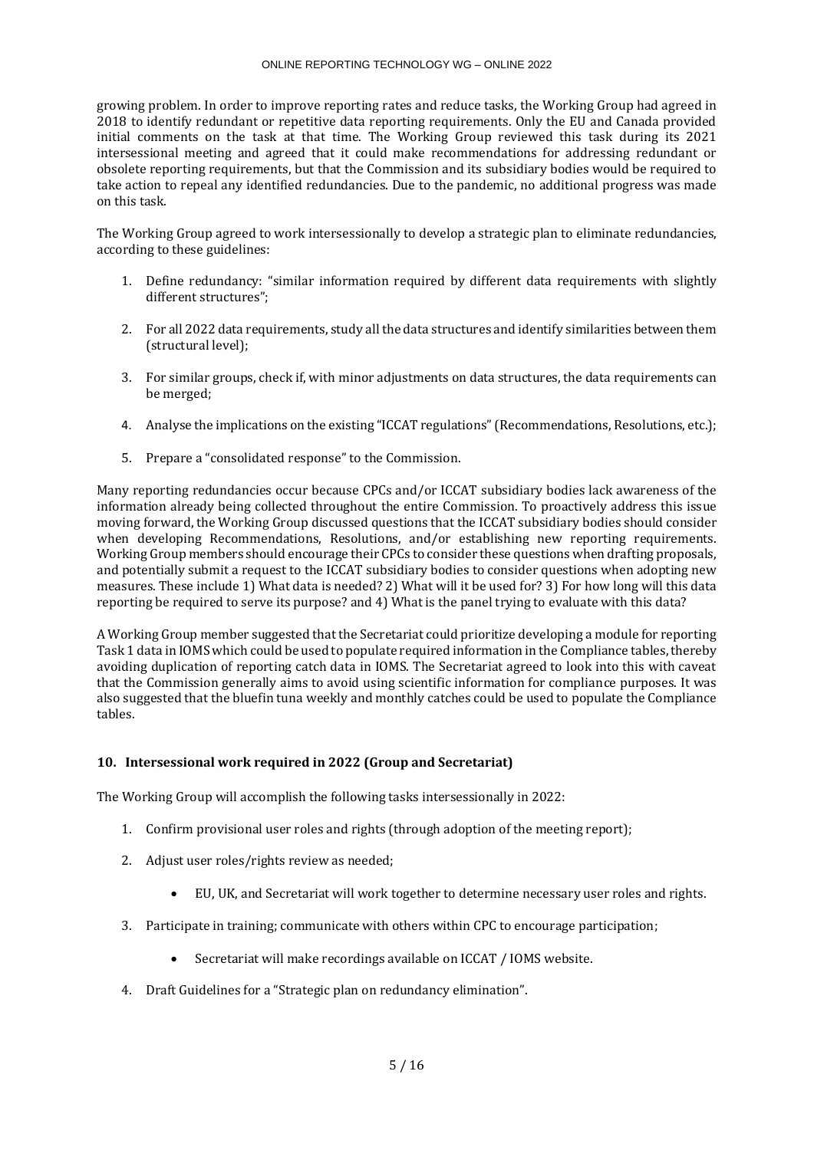#### ONLINE REPORTING TECHNOLOGY WG – ONLINE 2022

growing problem. In order to improve reporting rates and reduce tasks, the Working Group had agreed in 2018 to identify redundant or repetitive data reporting requirements. Only the EU and Canada provided initial comments on the task at that time. The Working Group reviewed this task during its 2021 intersessional meeting and agreed that it could make recommendations for addressing redundant or obsolete reporting requirements, but that the Commission and its subsidiary bodies would be required to take action to repeal any identified redundancies. Due to the pandemic, no additional progress was made on this task.

The Working Group agreed to work intersessionally to develop a strategic plan to eliminate redundancies, according to these guidelines:

- 1. Define redundancy: "similar information required by different data requirements with slightly different structures";
- 2. For all 2022 data requirements, study all the data structures and identify similarities between them (structural level);
- 3. For similar groups, check if, with minor adjustments on data structures, the data requirements can be merged;
- 4. Analyse the implications on the existing "ICCAT regulations" (Recommendations, Resolutions, etc.);
- 5. Prepare a "consolidated response" to the Commission.

Many reporting redundancies occur because CPCs and/or ICCAT subsidiary bodies lack awareness of the information already being collected throughout the entire Commission. To proactively address this issue moving forward, the Working Group discussed questions that the ICCAT subsidiary bodies should consider when developing Recommendations, Resolutions, and/or establishing new reporting requirements. Working Group members should encourage their CPCs to consider these questions when drafting proposals, and potentially submit a request to the ICCAT subsidiary bodies to consider questions when adopting new measures. These include 1) What data is needed? 2) What will it be used for? 3) For how long will this data reporting be required to serve its purpose? and 4) What is the panel trying to evaluate with this data?

A Working Group member suggested that the Secretariat could prioritize developing a module for reporting Task 1 data in IOMS which could be used to populate required information in the Compliance tables, thereby avoiding duplication of reporting catch data in IOMS. The Secretariat agreed to look into this with caveat that the Commission generally aims to avoid using scientific information for compliance purposes. It was also suggested that the bluefin tuna weekly and monthly catches could be used to populate the Compliance tables.

# **10. Intersessional work required in 2022 (Group and Secretariat)**

The Working Group will accomplish the following tasks intersessionally in 2022:

- 1. Confirm provisional user roles and rights (through adoption of the meeting report);
- 2. Adjust user roles/rights review as needed;
	- EU, UK, and Secretariat will work together to determine necessary user roles and rights.
- 3. Participate in training; communicate with others within CPC to encourage participation;
	- Secretariat will make recordings available on ICCAT / IOMS website.
- 4. Draft Guidelines for a "Strategic plan on redundancy elimination".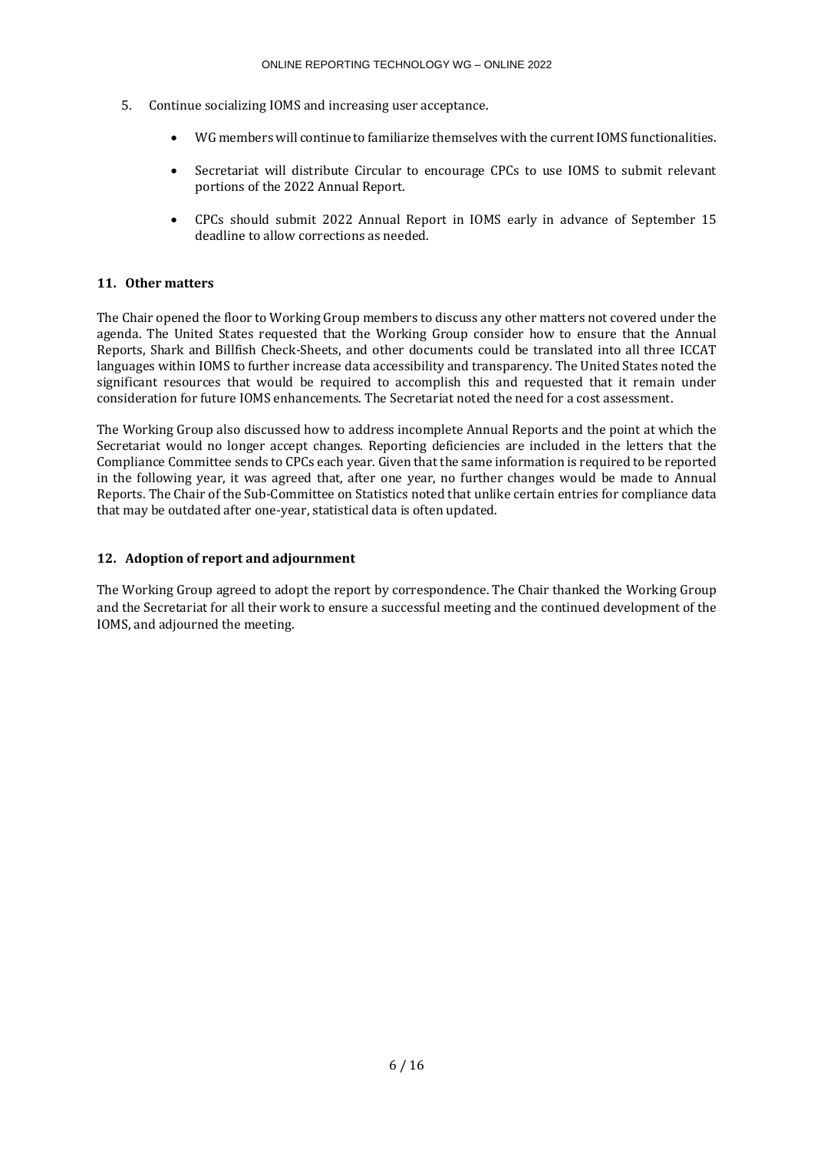- 5. Continue socializing IOMS and increasing user acceptance.
	- WG members will continue to familiarize themselves with the current IOMS functionalities.
	- Secretariat will distribute Circular to encourage CPCs to use IOMS to submit relevant portions of the 2022 Annual Report.
	- CPCs should submit 2022 Annual Report in IOMS early in advance of September 15 deadline to allow corrections as needed.

# **11. Other matters**

The Chair opened the floor to Working Group members to discuss any other matters not covered under the agenda. The United States requested that the Working Group consider how to ensure that the Annual Reports, Shark and Billfish Check-Sheets, and other documents could be translated into all three ICCAT languages within IOMS to further increase data accessibility and transparency. The United States noted the significant resources that would be required to accomplish this and requested that it remain under consideration for future IOMS enhancements. The Secretariat noted the need for a cost assessment.

The Working Group also discussed how to address incomplete Annual Reports and the point at which the Secretariat would no longer accept changes. Reporting deficiencies are included in the letters that the Compliance Committee sends to CPCs each year. Given that the same information is required to be reported in the following year, it was agreed that, after one year, no further changes would be made to Annual Reports. The Chair of the Sub-Committee on Statistics noted that unlike certain entries for compliance data that may be outdated after one-year, statistical data is often updated.

# **12. Adoption of report and adjournment**

The Working Group agreed to adopt the report by correspondence. The Chair thanked the Working Group and the Secretariat for all their work to ensure a successful meeting and the continued development of the IOMS, and adjourned the meeting.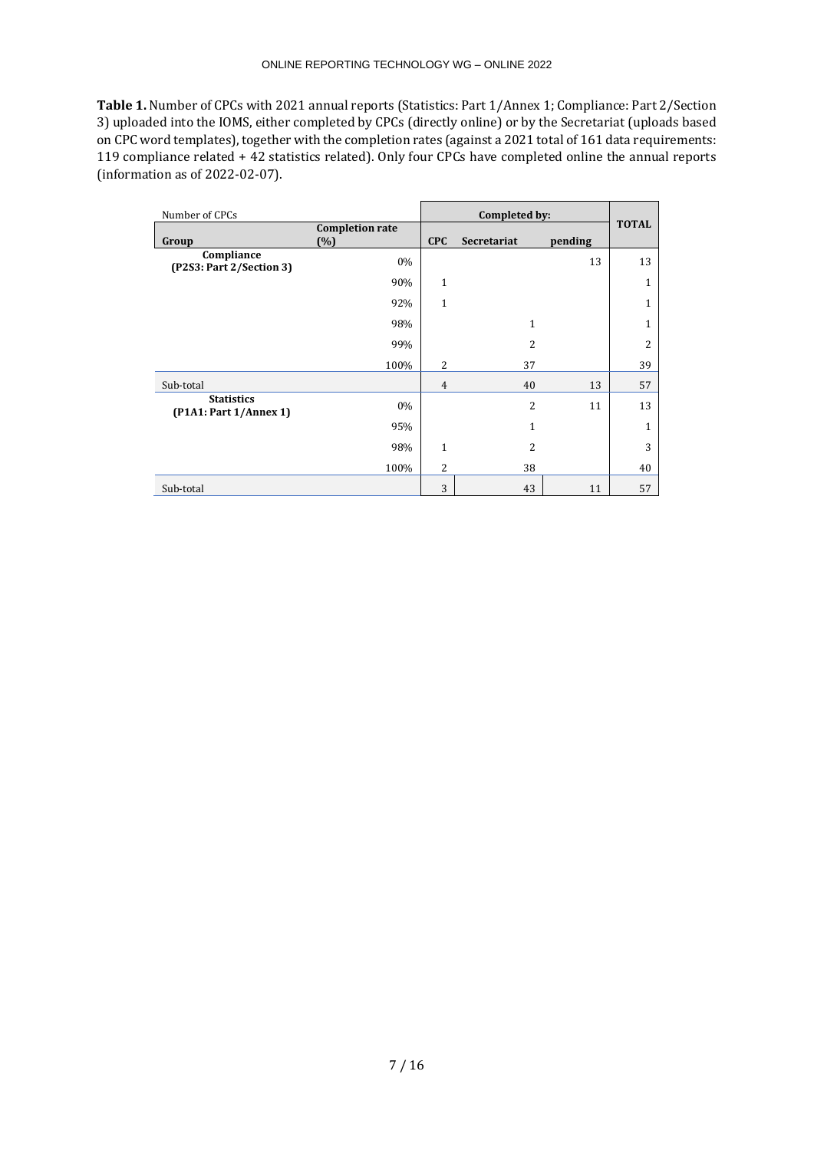**Table 1.** Number of CPCs with 2021 annual reports (Statistics: Part 1/Annex 1; Compliance: Part 2/Section 3) uploaded into the IOMS, either completed by CPCs (directly online) or by the Secretariat (uploads based on CPC word templates), together with the completion rates (against a 2021 total of 161 data requirements: 119 compliance related + 42 statistics related). Only four CPCs have completed online the annual reports (information as of 2022-02-07).

| Number of CPCs                              |                               |                | Completed by:  |         |                |
|---------------------------------------------|-------------------------------|----------------|----------------|---------|----------------|
| Group                                       | <b>Completion rate</b><br>(%) | <b>CPC</b>     | Secretariat    | pending | <b>TOTAL</b>   |
| Compliance<br>(P2S3: Part 2/Section 3)      | 0%                            |                |                | 13      | 13             |
|                                             | 90%                           | $\mathbf{1}$   |                |         | $\mathbf{1}$   |
|                                             | 92%                           | $\mathbf{1}$   |                |         | $\mathbf{1}$   |
|                                             | 98%                           |                | $\mathbf{1}$   |         | $\mathbf{1}$   |
|                                             | 99%                           |                | $\overline{2}$ |         | $\overline{2}$ |
|                                             | 100%                          | 2              | 37             |         | 39             |
| Sub-total                                   |                               | $\overline{4}$ | 40             | 13      | 57             |
| <b>Statistics</b><br>(P1A1: Part 1/Annex 1) | $0\%$                         |                | $\overline{2}$ | 11      | 13             |
|                                             | 95%                           |                | $\mathbf{1}$   |         | $\mathbf{1}$   |
|                                             | 98%                           | $\mathbf{1}$   | 2              |         | 3              |
|                                             | 100%                          | $\overline{c}$ | 38             |         | 40             |
| Sub-total                                   |                               | 3              | 43             | 11      | 57             |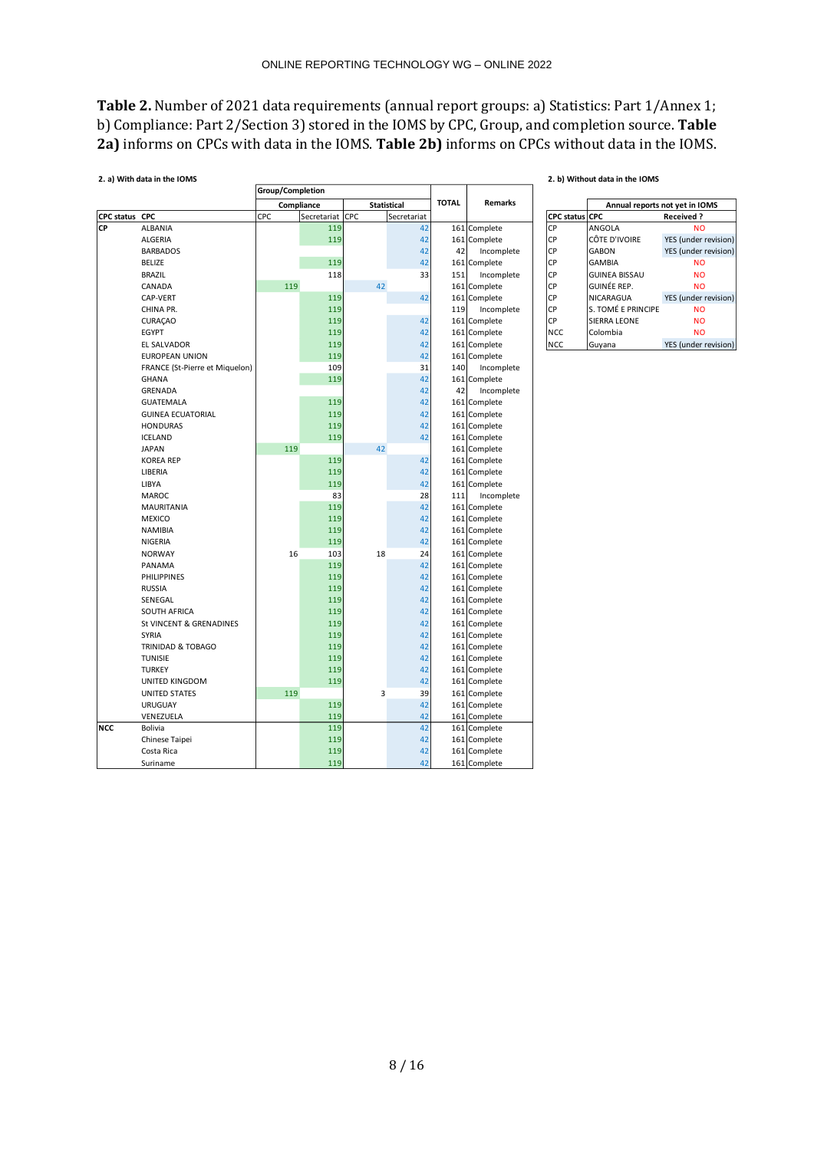**Table 2.** Number of 2021 data requirements (annual report groups: a) Statistics: Part 1/Annex 1; b) Compliance: Part 2/Section 3) stored in the IOMS by CPC, Group, and completion source. **Table 2a)** informs on CPCs with data in the IOMS. **Table 2b)** informs on CPCs without data in the IOMS.

|                | 2. a) With data in the IOMS    |                         |            |                 |  |    |                    |              |                |                | 2. b) Without data in the IOMS |                                |  |  |
|----------------|--------------------------------|-------------------------|------------|-----------------|--|----|--------------------|--------------|----------------|----------------|--------------------------------|--------------------------------|--|--|
|                |                                | <b>Group/Completion</b> |            |                 |  |    |                    |              |                |                |                                |                                |  |  |
|                |                                |                         | Compliance |                 |  |    | <b>Statistical</b> | <b>TOTAL</b> | <b>Remarks</b> |                |                                | Annual reports not yet in IOMS |  |  |
| CPC status CPC |                                | CPC                     |            | Secretariat CPC |  |    | Secretariat        |              |                | CPC status CPC |                                | <b>Received?</b>               |  |  |
| CP             | <b>ALBANIA</b>                 |                         |            | 119             |  |    | 42                 | 161          | Complete       | CP             | ANGOLA                         | <b>NO</b>                      |  |  |
|                | <b>ALGERIA</b>                 |                         |            | 119             |  |    | 42                 |              | 161 Complete   | <b>CP</b>      | CÔTE D'IVOIRE                  | YES (under revision)           |  |  |
|                | <b>BARBADOS</b>                |                         |            |                 |  |    | 42                 | 42           | Incomplete     | CP             | <b>GABON</b>                   | YES (under revision)           |  |  |
|                | <b>BELIZE</b>                  |                         |            | 119             |  |    | 42                 | 161          | Complete       | CP             | <b>GAMBIA</b>                  | <b>NO</b>                      |  |  |
|                | <b>BRAZIL</b>                  |                         |            | 118             |  |    | 33                 | 151          | Incomplete     | <b>CP</b>      | <b>GUINEA BISSAU</b>           | <b>NO</b>                      |  |  |
|                | CANADA                         |                         | 119        |                 |  | 42 |                    | 161          | Complete       | CP             | GUINÉE REP.                    | <b>NO</b>                      |  |  |
|                | CAP-VERT                       |                         |            | 119             |  |    | 42                 | 161          | Complete       | CP             | NICARAGUA                      | YES (under revision)           |  |  |
|                | CHINA PR.                      |                         |            | 119             |  |    |                    | 119          | Incomplete     | <b>CP</b>      | S. TOMÉ E PRINCIPE             | <b>NO</b>                      |  |  |
|                | <b>CURAÇAO</b>                 |                         |            | 119             |  |    | 42                 | 161          | Complete       | CP             | SIERRA LEONE                   | <b>NO</b>                      |  |  |
|                | <b>EGYPT</b>                   |                         |            | 119             |  |    | 42                 | 161          | Complete       | <b>NCC</b>     | Colombia                       | <b>NO</b>                      |  |  |
|                | <b>EL SALVADOR</b>             |                         |            | 119             |  |    | 42                 | 161          | Complete       | <b>NCC</b>     | Guyana                         | YES (under revision)           |  |  |
|                | <b>EUROPEAN UNION</b>          |                         |            | 119             |  |    | 42                 | 161          | Complete       |                |                                |                                |  |  |
|                | FRANCE (St-Pierre et Miquelon) |                         |            | 109             |  |    | 31                 | 140          | Incomplete     |                |                                |                                |  |  |
|                | <b>GHANA</b>                   |                         |            | 119             |  |    | 42                 |              | 161 Complete   |                |                                |                                |  |  |
|                | GRENADA                        |                         |            |                 |  |    | 42                 | 42           | Incomplete     |                |                                |                                |  |  |
|                | <b>GUATEMALA</b>               |                         |            | 119             |  |    | 42                 |              | 161 Complete   |                |                                |                                |  |  |
|                | <b>GUINEA ECUATORIAL</b>       |                         |            | 119             |  |    | 42                 |              | 161 Complete   |                |                                |                                |  |  |
|                | <b>HONDURAS</b>                |                         |            | 119             |  |    | 42                 |              | 161 Complete   |                |                                |                                |  |  |
|                | <b>ICELAND</b>                 |                         |            | 119             |  |    | 42                 |              | 161 Complete   |                |                                |                                |  |  |
|                | <b>JAPAN</b>                   |                         | 119        |                 |  | 42 |                    |              | 161 Complete   |                |                                |                                |  |  |
|                | <b>KOREA REP</b>               |                         |            | 119             |  |    | 42                 | 161          | Complete       |                |                                |                                |  |  |
|                | LIBERIA                        |                         |            | 119             |  |    | 42                 | 161          | Complete       |                |                                |                                |  |  |
|                | LIBYA                          |                         |            | 119             |  |    | 42                 | 161          | Complete       |                |                                |                                |  |  |
|                | <b>MAROC</b>                   |                         |            | 83              |  |    | 28                 | 111          | Incomplete     |                |                                |                                |  |  |
|                | <b>MAURITANIA</b>              |                         |            | 119             |  |    | 42                 |              | 161 Complete   |                |                                |                                |  |  |
|                | <b>MEXICO</b>                  |                         |            | 119             |  |    | 42                 |              | 161 Complete   |                |                                |                                |  |  |
|                | <b>NAMIBIA</b>                 |                         |            | 119             |  |    | 42                 | 161          | Complete       |                |                                |                                |  |  |
|                | <b>NIGERIA</b>                 |                         |            | 119             |  |    | 42                 |              | 161 Complete   |                |                                |                                |  |  |
|                | <b>NORWAY</b>                  |                         | 16         | 103             |  | 18 | 24                 |              | 161 Complete   |                |                                |                                |  |  |
|                | PANAMA                         |                         |            | 119             |  |    | 42                 |              | 161 Complete   |                |                                |                                |  |  |
|                | <b>PHILIPPINES</b>             |                         |            | 119             |  |    | 42                 |              | 161 Complete   |                |                                |                                |  |  |
|                | <b>RUSSIA</b>                  |                         |            | 119             |  |    | 42                 | 161          | Complete       |                |                                |                                |  |  |
|                | SENEGAL                        |                         |            | 119             |  |    | 42                 | 161          | Complete       |                |                                |                                |  |  |
|                | <b>SOUTH AFRICA</b>            |                         |            | 119             |  |    | 42                 | 161          | Complete       |                |                                |                                |  |  |
|                | St VINCENT & GRENADINES        |                         |            | 119             |  |    | 42                 |              | 161 Complete   |                |                                |                                |  |  |
|                | SYRIA                          |                         |            | 119             |  |    | 42                 |              | 161 Complete   |                |                                |                                |  |  |
|                | TRINIDAD & TOBAGO              |                         |            | 119             |  |    | 42                 |              | 161 Complete   |                |                                |                                |  |  |
|                | <b>TUNISIE</b>                 |                         |            | 119             |  |    | 42                 |              | 161 Complete   |                |                                |                                |  |  |
|                | <b>TURKEY</b>                  |                         |            | 119             |  |    | 42                 |              | 161 Complete   |                |                                |                                |  |  |
|                | UNITED KINGDOM                 |                         |            | 119             |  |    | 42                 |              | 161 Complete   |                |                                |                                |  |  |
|                | <b>UNITED STATES</b>           |                         | 119        |                 |  | 3  | 39                 | 161          | Complete       |                |                                |                                |  |  |
|                | <b>URUGUAY</b>                 |                         |            | 119             |  |    | 42                 | 161          | Complete       |                |                                |                                |  |  |
|                | VENEZUELA                      |                         |            | 119             |  |    | 42                 | 161          | Complete       |                |                                |                                |  |  |
| <b>NCC</b>     | <b>Bolivia</b>                 |                         |            | 119             |  |    | 42                 | 161          | Complete       |                |                                |                                |  |  |
|                | Chinese Taipei                 |                         |            | 119             |  |    | 42                 | 161          | Complete       |                |                                |                                |  |  |
|                | Costa Rica                     |                         |            | 119             |  |    | 42                 |              | 161 Complete   |                |                                |                                |  |  |
|                | Suriname                       |                         |            | 119             |  |    | 42                 |              | 161 Complete   |                |                                |                                |  |  |

|                       | Annual reports not yet in IOMS |                      |  |  |  |  |  |  |  |  |
|-----------------------|--------------------------------|----------------------|--|--|--|--|--|--|--|--|
| <b>CPC status CPC</b> |                                | <b>Received?</b>     |  |  |  |  |  |  |  |  |
| <b>CP</b>             | ANGOLA                         | NΟ                   |  |  |  |  |  |  |  |  |
| <b>CP</b>             | CÔTE D'IVOIRE                  | YES (under revision) |  |  |  |  |  |  |  |  |
| <b>CP</b>             | <b>GABON</b>                   | YES (under revision) |  |  |  |  |  |  |  |  |
| <b>CP</b>             | <b>GAMBIA</b>                  | N <sub>O</sub>       |  |  |  |  |  |  |  |  |
| C <sub>P</sub>        | <b>GUINEA BISSAU</b>           | NΟ                   |  |  |  |  |  |  |  |  |
| <b>CP</b>             | GUINÉE REP.                    | N <sub>O</sub>       |  |  |  |  |  |  |  |  |
| <b>CP</b>             | NICARAGUA                      | YES (under revision) |  |  |  |  |  |  |  |  |
| <b>CP</b>             | S. TOMÉ E PRINCIPE             | <b>NO</b>            |  |  |  |  |  |  |  |  |
| <b>CP</b>             | <b>SIERRA LEONE</b>            | NΟ                   |  |  |  |  |  |  |  |  |
| NCC.                  | Colombia                       | NΟ                   |  |  |  |  |  |  |  |  |
| <b>NCC</b>            | Guyana                         | YES (under revision) |  |  |  |  |  |  |  |  |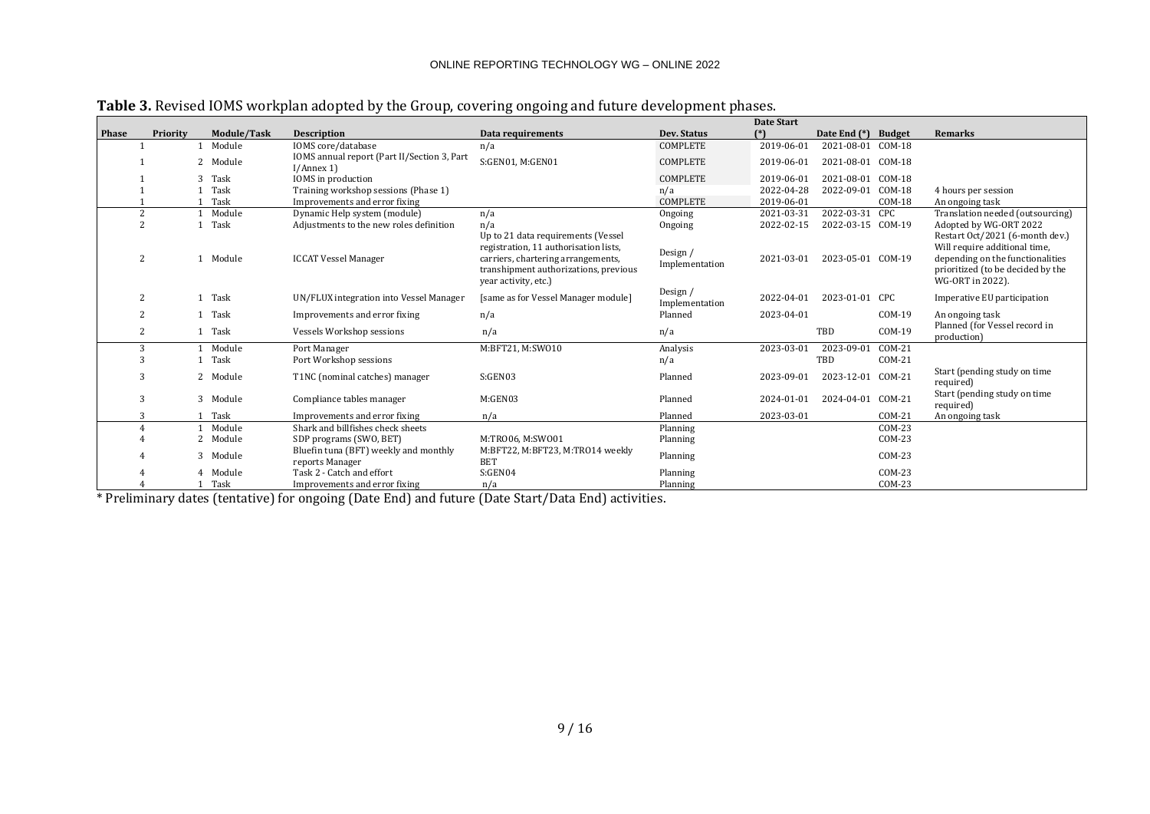|       |          |             |                                                           |                                                                                                                                                                                    |                            | <b>Date Start</b> |                   |               |                                                                                                                                                               |
|-------|----------|-------------|-----------------------------------------------------------|------------------------------------------------------------------------------------------------------------------------------------------------------------------------------------|----------------------------|-------------------|-------------------|---------------|---------------------------------------------------------------------------------------------------------------------------------------------------------------|
| Phase | Priority | Module/Task | <b>Description</b>                                        | Data requirements                                                                                                                                                                  | Dev. Status                |                   | Date End (*)      | <b>Budget</b> | Remarks                                                                                                                                                       |
|       |          | Module      | IOMS core/database                                        | n/a                                                                                                                                                                                | <b>COMPLETE</b>            | 2019-06-01        | 2021-08-01 COM-18 |               |                                                                                                                                                               |
|       |          | 2 Module    | IOMS annual report (Part II/Section 3, Part<br>I/Annex 1) | S:GEN01, M:GEN01                                                                                                                                                                   | <b>COMPLETE</b>            | 2019-06-01        | 2021-08-01 COM-18 |               |                                                                                                                                                               |
|       |          | 3 Task      | IOMS in production                                        |                                                                                                                                                                                    | <b>COMPLETE</b>            | 2019-06-01        | 2021-08-01 COM-18 |               |                                                                                                                                                               |
|       |          | Task        | Training workshop sessions (Phase 1)                      |                                                                                                                                                                                    | n/a                        | 2022-04-28        | 2022-09-01        | $COM-18$      | 4 hours per session                                                                                                                                           |
|       |          | Task        | Improvements and error fixing                             |                                                                                                                                                                                    | <b>COMPLETE</b>            | 2019-06-01        |                   | $COM-18$      | An ongoing task                                                                                                                                               |
|       |          | Module      | Dynamic Help system (module)                              | n/a                                                                                                                                                                                | Ongoing                    | 2021-03-31        | 2022-03-31        | CPC           | Translation needed (outsourcing)                                                                                                                              |
|       |          | Task        | Adjustments to the new roles definition                   | n/a                                                                                                                                                                                | Ongoing                    | 2022-02-15        | 2022-03-15 COM-19 |               | Adopted by WG-ORT 2022                                                                                                                                        |
|       | 2        | 1 Module    | <b>ICCAT Vessel Manager</b>                               | Up to 21 data requirements (Vessel<br>registration, 11 authorisation lists,<br>carriers, chartering arrangements,<br>transhipment authorizations, previous<br>year activity, etc.) | Design /<br>Implementation | 2021-03-01        | 2023-05-01 COM-19 |               | Restart Oct/2021 (6-month dev.)<br>Will require additional time,<br>depending on the functionalities<br>prioritized (to be decided by the<br>WG-ORT in 2022). |
|       |          | 1 Task      | UN/FLUX integration into Vessel Manager                   | [same as for Vessel Manager module]                                                                                                                                                | Design /<br>Implementation | 2022-04-01        | 2023-01-01 CPC    |               | Imperative EU participation                                                                                                                                   |
|       |          | Task        | Improvements and error fixing                             | n/a                                                                                                                                                                                | Planned                    | 2023-04-01        |                   | $COM-19$      | An ongoing task                                                                                                                                               |
|       | 2        | 1 Task      | Vessels Workshop sessions                                 | n/a                                                                                                                                                                                | n/a                        |                   | TBD               | $COM-19$      | Planned (for Vessel record in<br>production)                                                                                                                  |
|       | 3        | Module      | Port Manager                                              | M:BFT21, M:SW010                                                                                                                                                                   | Analysis                   | 2023-03-01        | 2023-09-01        | $COM-21$      |                                                                                                                                                               |
|       |          | Task        | Port Workshop sessions                                    |                                                                                                                                                                                    | n/a                        |                   | TBD               | $COM-21$      |                                                                                                                                                               |
|       | 3        | 2 Module    | T1NC (nominal catches) manager                            | S:GEN03                                                                                                                                                                            | Planned                    | 2023-09-01        | 2023-12-01        | $COM-21$      | Start (pending study on time<br>required)                                                                                                                     |
|       | 3        | 3 Module    | Compliance tables manager                                 | M:GEN03                                                                                                                                                                            | Planned                    | 2024-01-01        | 2024-04-01 COM-21 |               | Start (pending study on time<br>required)                                                                                                                     |
|       | 3        | Task        | Improvements and error fixing                             | n/a                                                                                                                                                                                | Planned                    | 2023-03-01        |                   | $COM-21$      | An ongoing task                                                                                                                                               |
|       |          | Module      | Shark and billfishes check sheets                         |                                                                                                                                                                                    | Planning                   |                   |                   | $COM-23$      |                                                                                                                                                               |
|       |          | 2 Module    | SDP programs (SWO, BET)                                   | M:TRO06, M:SWO01                                                                                                                                                                   | Planning                   |                   |                   | $COM-23$      |                                                                                                                                                               |
|       |          | 3 Module    | Bluefin tuna (BFT) weekly and monthly<br>reports Manager  | M:BFT22, M:BFT23, M:TR014 weekly<br><b>BET</b>                                                                                                                                     | Planning                   |                   |                   | $COM-23$      |                                                                                                                                                               |
|       |          | 4 Module    | Task 2 - Catch and effort                                 | S:GEN04                                                                                                                                                                            | Planning                   |                   |                   | $COM-23$      |                                                                                                                                                               |
|       |          | Task        | Improvements and error fixing                             | n/a                                                                                                                                                                                | Planning                   |                   |                   | $COM-23$      |                                                                                                                                                               |

**Table 3.** Revised IOMS workplan adopted by the Group, covering ongoing and future development phases.

\* Preliminary dates (tentative) for ongoing (Date End) and future (Date Start/Data End) activities.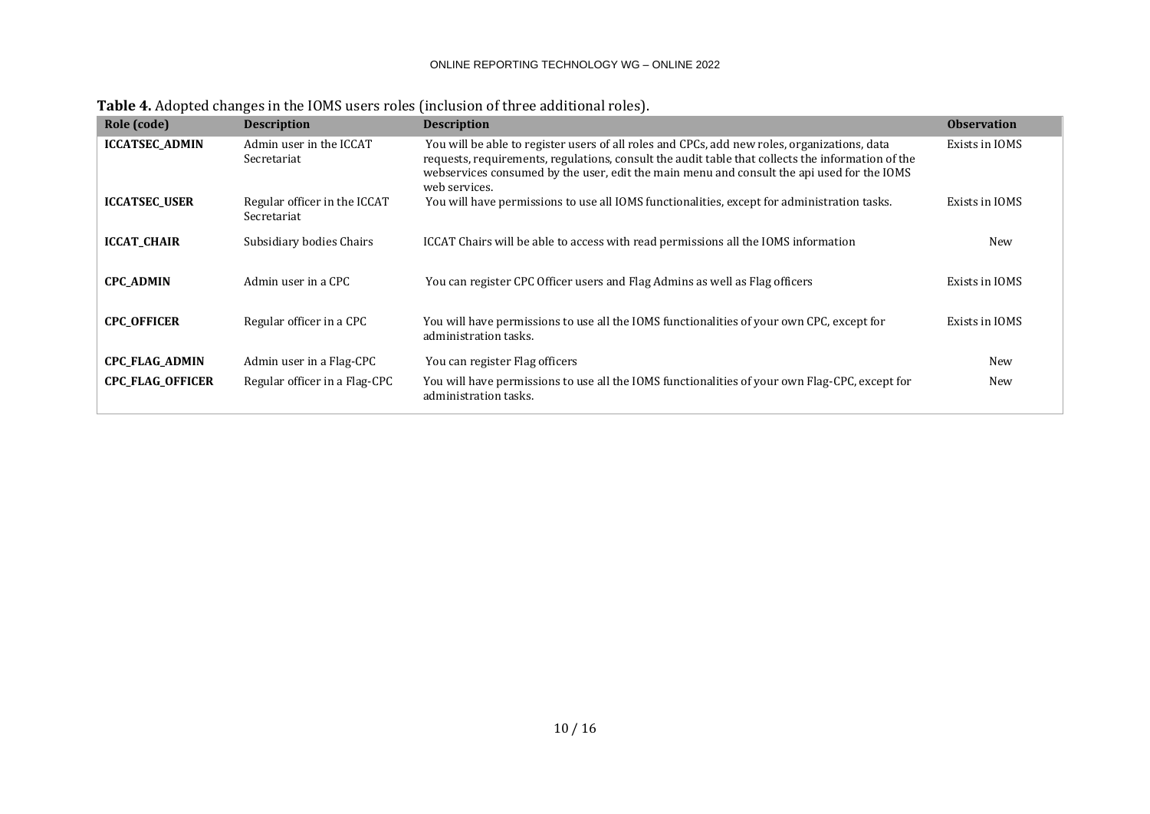| Role (code)             | <b>Description</b>                          | <b>Description</b>                                                                                                                                                                                                                                                                                               | <b>Observation</b> |
|-------------------------|---------------------------------------------|------------------------------------------------------------------------------------------------------------------------------------------------------------------------------------------------------------------------------------------------------------------------------------------------------------------|--------------------|
| <b>ICCATSEC ADMIN</b>   | Admin user in the ICCAT<br>Secretariat      | You will be able to register users of all roles and CPCs, add new roles, organizations, data<br>requests, requirements, regulations, consult the audit table that collects the information of the<br>webservices consumed by the user, edit the main menu and consult the api used for the IOMS<br>web services. | Exists in IOMS     |
| <b>ICCATSEC USER</b>    | Regular officer in the ICCAT<br>Secretariat | You will have permissions to use all IOMS functionalities, except for administration tasks.                                                                                                                                                                                                                      | Exists in IOMS     |
| <b>ICCAT CHAIR</b>      | Subsidiary bodies Chairs                    | ICCAT Chairs will be able to access with read permissions all the IOMS information                                                                                                                                                                                                                               | New                |
| <b>CPC_ADMIN</b>        | Admin user in a CPC                         | You can register CPC Officer users and Flag Admins as well as Flag officers                                                                                                                                                                                                                                      | Exists in IOMS     |
| <b>CPC OFFICER</b>      | Regular officer in a CPC                    | You will have permissions to use all the IOMS functionalities of your own CPC, except for<br>administration tasks.                                                                                                                                                                                               | Exists in IOMS     |
| <b>CPC_FLAG_ADMIN</b>   | Admin user in a Flag-CPC                    | You can register Flag officers                                                                                                                                                                                                                                                                                   | New                |
| <b>CPC_FLAG_OFFICER</b> | Regular officer in a Flag-CPC               | You will have permissions to use all the IOMS functionalities of your own Flag-CPC, except for<br>administration tasks.                                                                                                                                                                                          | New                |

**Table 4.** Adopted changes in the IOMS users roles (inclusion of three additional roles).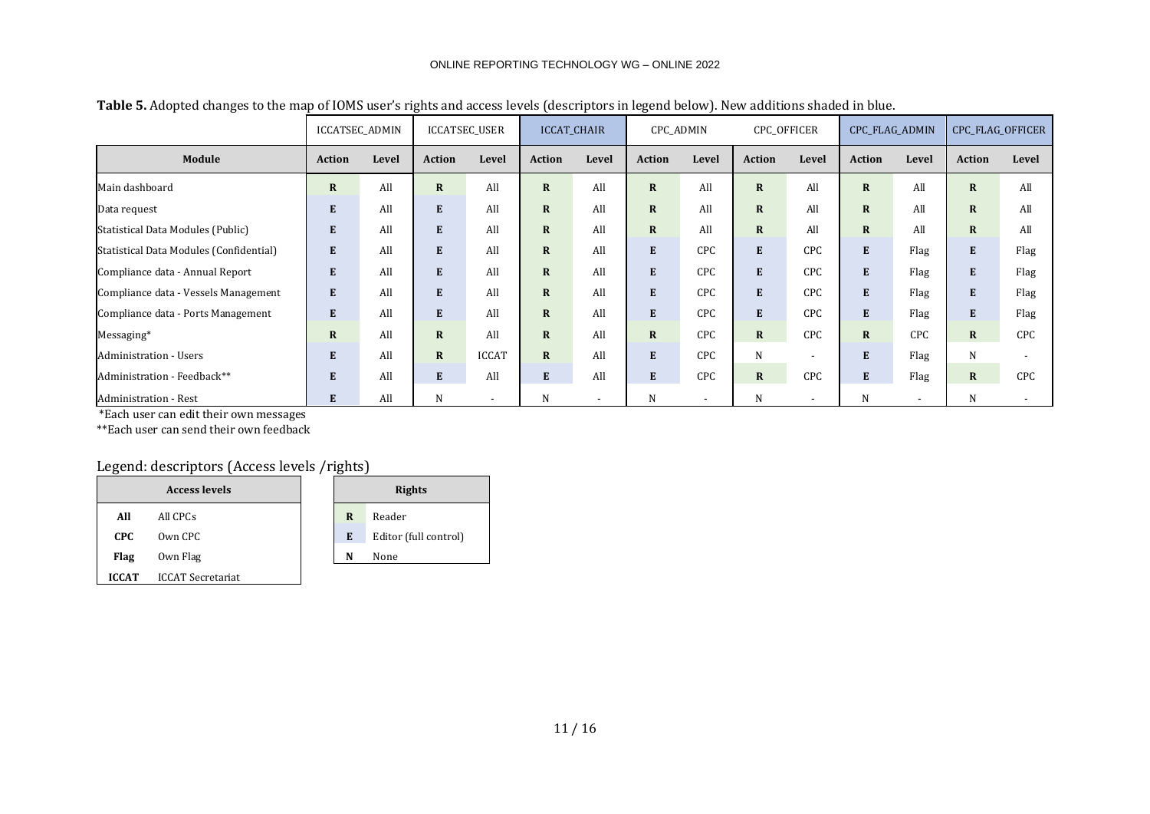|                                         | ICCATSEC_ADMIN |       | ICCATSEC_USER |              |               | <b>ICCAT CHAIR</b> | <b>CPC ADMIN</b> |                          | CPC_OFFICER   |                          | CPC_FLAG_ADMIN |            | <b>CPC FLAG OFFICER</b> |       |
|-----------------------------------------|----------------|-------|---------------|--------------|---------------|--------------------|------------------|--------------------------|---------------|--------------------------|----------------|------------|-------------------------|-------|
| Module                                  | <b>Action</b>  | Level | <b>Action</b> | Level        | <b>Action</b> | Level              | <b>Action</b>    | Level                    | <b>Action</b> | Level                    | <b>Action</b>  | Level      | <b>Action</b>           | Level |
| Main dashboard                          | $\mathbf R$    | All   | $\mathbf{R}$  | All          | $\mathbf{R}$  | All                | $\mathbf R$      | All                      | $\mathbf{R}$  | All                      | $\mathbf R$    | All        | $\mathbf R$             | All   |
| Data request                            | E              | All   | E             | All          | $\mathbf{R}$  | All                | $\mathbf R$      | All                      | $\mathbf{R}$  | All                      | $\mathbf R$    | All        | $\mathbf R$             | All   |
| Statistical Data Modules (Public)       | ${\bf E}$      | All   | E             | All          | $\mathbf{R}$  | All                | $\mathbf R$      | All                      | $\mathbf{R}$  | All                      | $\mathbf R$    | All        | $\mathbf R$             | All   |
| Statistical Data Modules (Confidential) | E              | All   | E             | All          | $\mathbf{R}$  | All                | E                | CPC                      | E             | CPC                      | ${\bf E}$      | Flag       | E                       | Flag  |
| Compliance data - Annual Report         | E              | All   | E             | All          | $\mathbf{R}$  | All                | E                | CPC                      | E             | CPC                      | E              | Flag       | E                       | Flag  |
| Compliance data - Vessels Management    | ${\bf E}$      | All   | E             | All          | $\mathbf{R}$  | All                | E                | CPC                      | E             | <b>CPC</b>               | E              | Flag       | E                       | Flag  |
| Compliance data - Ports Management      | E              | All   | E             | All          | $\mathbf{R}$  | All                | E                | CPC                      | E             | CPC                      | E              | Flag       | E                       | Flag  |
| Messaging*                              | $\mathbf R$    | All   | $\mathbf{R}$  | All          | $\mathbf{R}$  | All                | $\mathbf R$      | CPC                      | $\mathbf{R}$  | <b>CPC</b>               | $\mathbf R$    | <b>CPC</b> | $\mathbf R$             | CPC   |
| <b>Administration - Users</b>           | E              | All   | $\mathbf{R}$  | <b>ICCAT</b> | $\mathbf{R}$  | All                | E                | CPC                      | N             | $\overline{\phantom{0}}$ | E              | Flag       | N                       |       |
| Administration - Feedback**             | ${\bf E}$      | All   | E             | All          | E             | All                | ${\bf E}$        | CPC                      | $\mathbf{R}$  | CPC                      | E              | Flag       | $\mathbf R$             | CPC   |
| Administration - Rest                   | E              | All   | N             |              | N             |                    | N                | $\overline{\phantom{a}}$ | N             | $\overline{\phantom{0}}$ | N              |            | N                       |       |

**Table 5.** Adopted changes to the map of IOMS user's rights and access levels (descriptors in legend below). New additions shaded in blue.

\*Each user can edit their own messages

\*\*Each user can send their own feedback

# Legend: descriptors (Access levels /rights)

|              | <b>Access levels</b>     |   | <b>Rights</b>         |
|--------------|--------------------------|---|-----------------------|
| All          | All CPCs                 | R | Reader                |
| CPC.         | Own CPC                  | E | Editor (full control) |
| Flag         | Own Flag                 | N | None                  |
| <b>ICCAT</b> | <b>ICCAT Secretariat</b> |   |                       |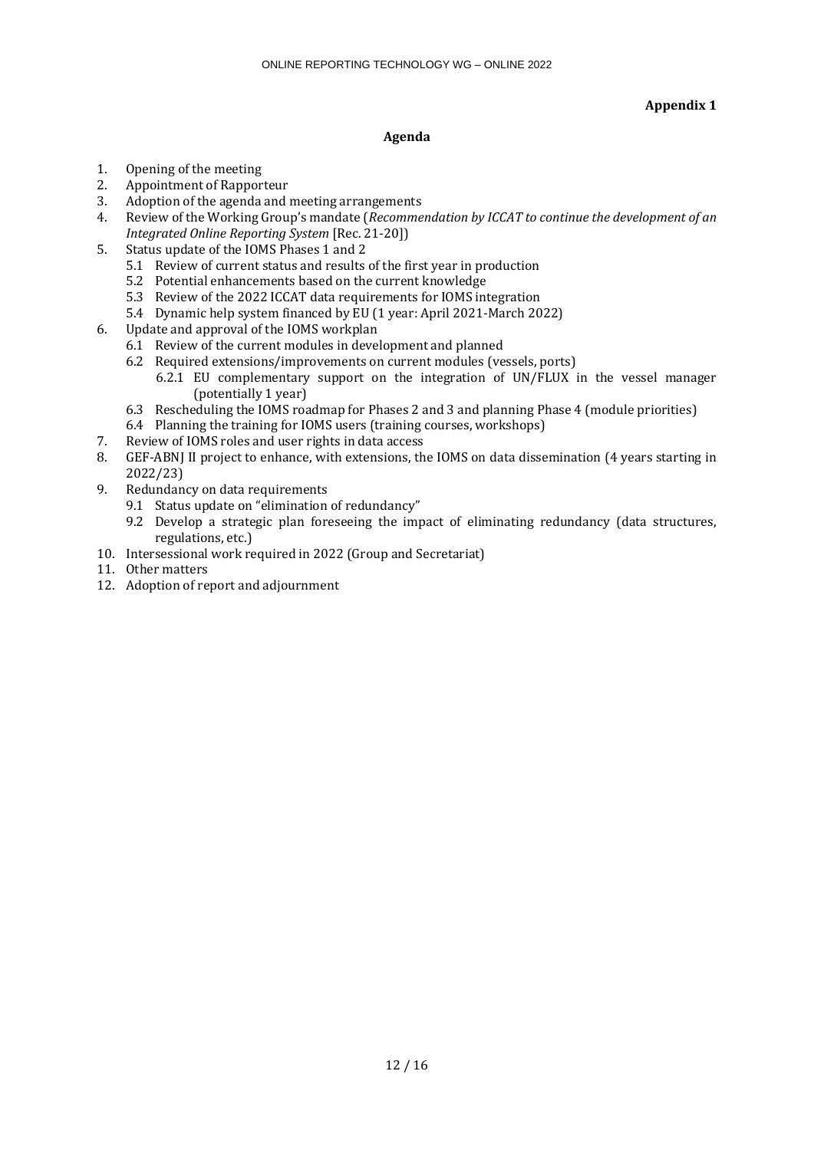# **Appendix 1**

# **Agenda**

- 1. Opening of the meeting
- 2. Appointment of Rapporteur
- 3. Adoption of the agenda and meeting arrangements
- 4. Review of the Working Group's mandate (*Recommendation by ICCAT to continue the development of an Integrated Online Reporting System* [Rec. 21-20])
- 5. Status update of the IOMS Phases 1 and 2
	- 5.1 Review of current status and results of the first year in production
	- 5.2 Potential enhancements based on the current knowledge
	- 5.3 Review of the 2022 ICCAT data requirements for IOMS integration
	- 5.4 Dynamic help system financed by EU (1 year: April 2021-March 2022)
- 6. Update and approval of the IOMS workplan
	- 6.1 Review of the current modules in development and planned
	- 6.2 Required extensions/improvements on current modules (vessels, ports)
		- 6.2.1 EU complementary support on the integration of UN/FLUX in the vessel manager (potentially 1 year)
	- 6.3 Rescheduling the IOMS roadmap for Phases 2 and 3 and planning Phase 4 (module priorities)
	- 6.4 Planning the training for IOMS users (training courses, workshops)
- 7. Review of IOMS roles and user rights in data access
- 8. GEF-ABNJ II project to enhance, with extensions, the IOMS on data dissemination (4 years starting in 2022/23)
- 9. Redundancy on data requirements
	- 9.1 Status update on "elimination of redundancy"
	- 9.2 Develop a strategic plan foreseeing the impact of eliminating redundancy (data structures, regulations, etc.)
- 10. Intersessional work required in 2022 (Group and Secretariat)
- 11. Other matters
- 12. Adoption of report and adjournment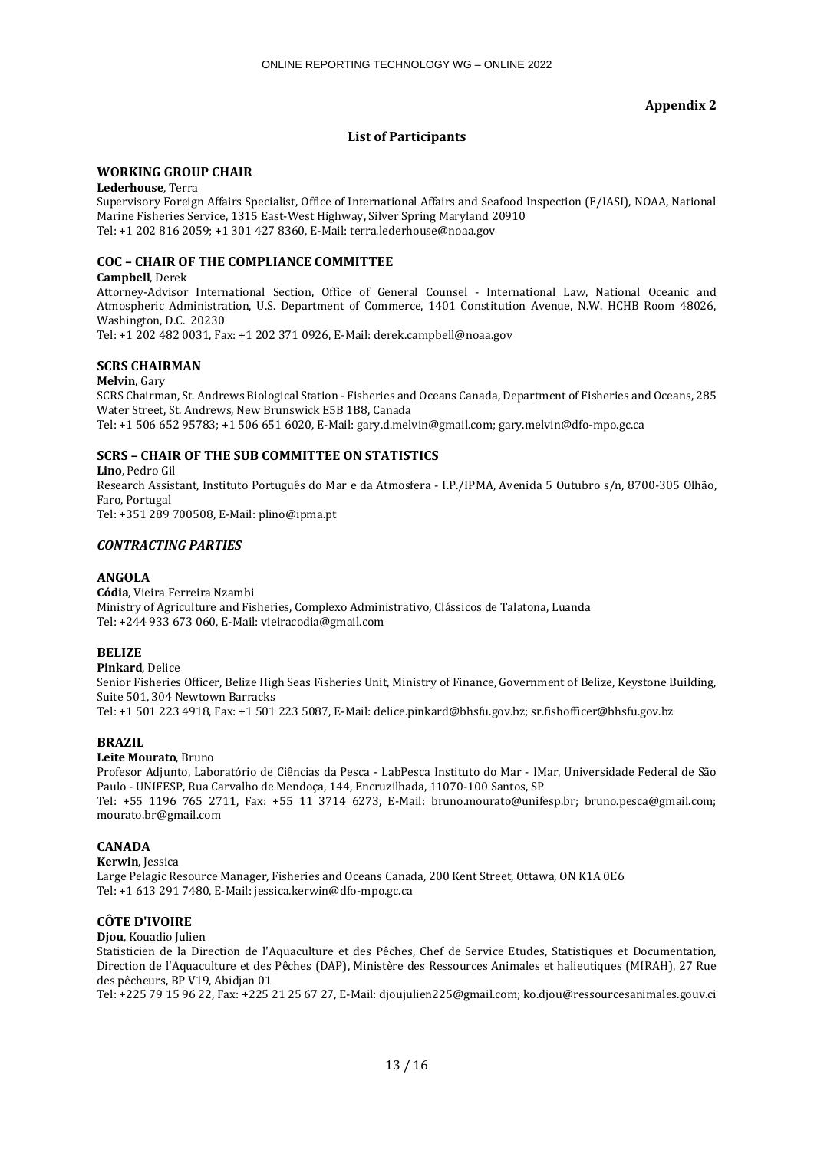## **Appendix 2**

# **List of Participants**

## **WORKING GROUP CHAIR**

**Lederhouse**, Terra

Supervisory Foreign Affairs Specialist, Office of International Affairs and Seafood Inspection (F/IASI), NOAA, National Marine Fisheries Service, 1315 East-West Highway, Silver Spring Maryland 20910 Tel: +1 202 816 2059; +1 301 427 8360, E-Mail: terra.lederhouse@noaa.gov

## **COC – CHAIR OF THE COMPLIANCE COMMITTEE**

#### **Campbell**, Derek

Attorney-Advisor International Section, Office of General Counsel - International Law, National Oceanic and Atmospheric Administration, U.S. Department of Commerce, 1401 Constitution Avenue, N.W. HCHB Room 48026, Washington, D.C. 20230

Tel: +1 202 482 0031, Fax: +1 202 371 0926, E-Mail: derek.campbell@noaa.gov

## **SCRS CHAIRMAN**

#### **Melvin**, Gary

SCRS Chairman, St. Andrews Biological Station - Fisheries and Oceans Canada, Department of Fisheries and Oceans, 285 Water Street, St. Andrews, New Brunswick E5B 1B8, Canada Tel: +1 506 652 95783; +1 506 651 6020, E-Mail: gary.d.melvin@gmail.com; gary.melvin@dfo-mpo.gc.ca

## **SCRS – CHAIR OF THE SUB COMMITTEE ON STATISTICS**

**Lino**, Pedro Gil Research Assistant, Instituto Português do Mar e da Atmosfera - I.P./IPMA, Avenida 5 Outubro s/n, 8700-305 Olhão, Faro, Portugal Tel: +351 289 700508, E-Mail: plino@ipma.pt

## *CONTRACTING PARTIES*

## **ANGOLA**

**Códia**, Vieira Ferreira Nzambi Ministry of Agriculture and Fisheries, Complexo Administrativo, Clássicos de Talatona, Luanda Tel: +244 933 673 060, E-Mail: vieiracodia@gmail.com

## **BELIZE**

#### **Pinkard**, Delice

Senior Fisheries Officer, Belize High Seas Fisheries Unit, Ministry of Finance, Government of Belize, Keystone Building, Suite 501, 304 Newtown Barracks

Tel: +1 501 223 4918, Fax: +1 501 223 5087, E-Mail: delice.pinkard@bhsfu.gov.bz; sr.fishofficer@bhsfu.gov.bz

## **BRAZIL**

#### **Leite Mourato**, Bruno

Profesor Adjunto, Laboratório de Ciências da Pesca - LabPesca Instituto do Mar - IMar, Universidade Federal de São Paulo - UNIFESP, Rua Carvalho de Mendoça, 144, Encruzilhada, 11070-100 Santos, SP

Tel: +55 1196 765 2711, Fax: +55 11 3714 6273, E-Mail: bruno.mourato@unifesp.br; bruno.pesca@gmail.com; mourato.br@gmail.com

## **CANADA**

**Kerwin**, Jessica Large Pelagic Resource Manager, Fisheries and Oceans Canada, 200 Kent Street, Ottawa, ON K1A 0E6 Tel: +1 613 291 7480, E-Mail: jessica.kerwin@dfo-mpo.gc.ca

## **CÔTE D'IVOIRE**

**Djou**, Kouadio Julien

Statisticien de la Direction de l'Aquaculture et des Pêches, Chef de Service Etudes, Statistiques et Documentation, Direction de l'Aquaculture et des Pêches (DAP), Ministère des Ressources Animales et halieutiques (MIRAH), 27 Rue des pêcheurs, BP V19, Abidjan 01

Tel: +225 79 15 96 22, Fax: +225 21 25 67 27, E-Mail: djoujulien225@gmail.com; ko.djou@ressourcesanimales.gouv.ci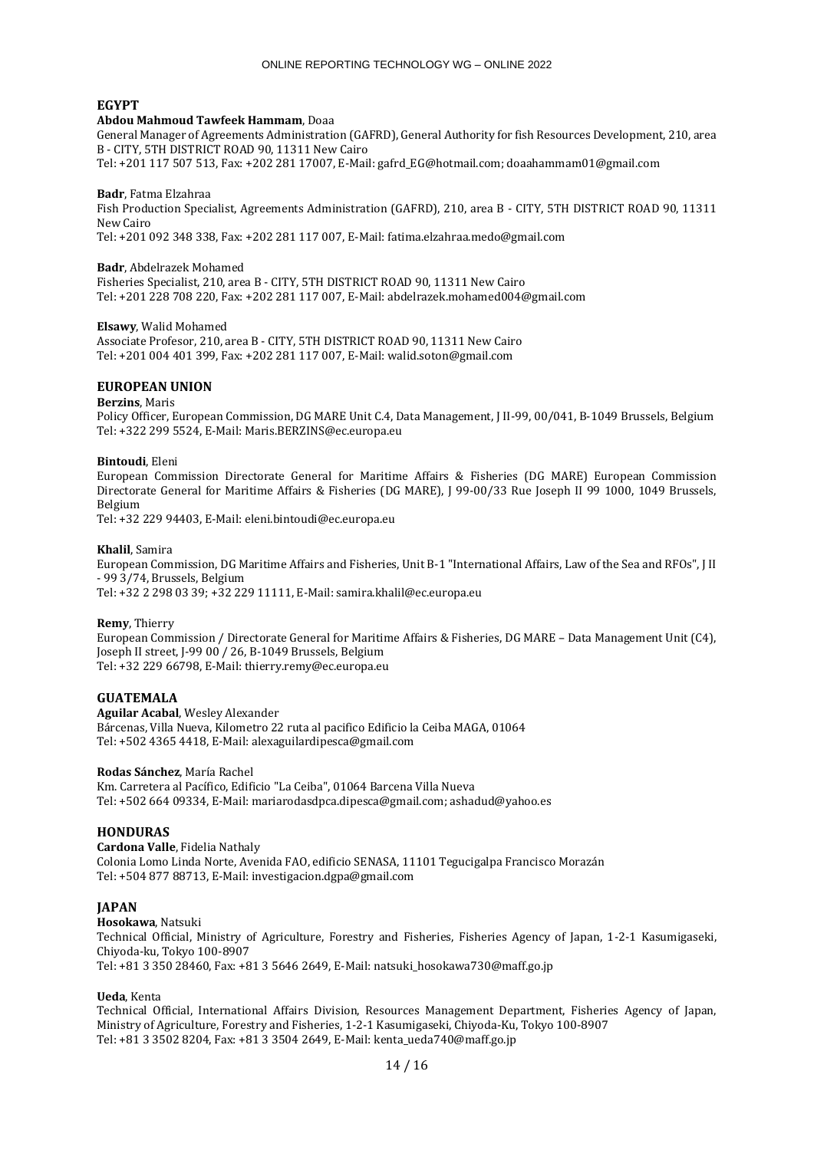## **EGYPT**

#### **Abdou Mahmoud Tawfeek Hammam**, Doaa

General Manager of Agreements Administration (GAFRD), General Authority for fish Resources Development, 210, area B - CITY, 5TH DISTRICT ROAD 90, 11311 New Cairo Tel: +201 117 507 513, Fax: +202 281 17007, E-Mail: gafrd\_EG@hotmail.com; doaahammam01@gmail.com

#### **Badr**, Fatma Elzahraa

Fish Production Specialist, Agreements Administration (GAFRD), 210, area B - CITY, 5TH DISTRICT ROAD 90, 11311 New Cairo

Tel: +201 092 348 338, Fax: +202 281 117 007, E-Mail: fatima.elzahraa.medo@gmail.com

#### **Badr**, Abdelrazek Mohamed

Fisheries Specialist, 210, area B - CITY, 5TH DISTRICT ROAD 90, 11311 New Cairo Tel: +201 228 708 220, Fax: +202 281 117 007, E-Mail: abdelrazek.mohamed004@gmail.com

#### **Elsawy**, Walid Mohamed

Associate Profesor, 210, area B - CITY, 5TH DISTRICT ROAD 90, 11311 New Cairo Tel: +201 004 401 399, Fax: +202 281 117 007, E-Mail: walid.soton@gmail.com

#### **EUROPEAN UNION**

#### **Berzins**, Maris

Policy Officer, European Commission, DG MARE Unit C.4, Data Management, J II-99, 00/041, B-1049 Brussels, Belgium Tel: +322 299 5524, E-Mail: Maris.BERZINS@ec.europa.eu

#### **Bintoudi**, Eleni

European Commission Directorate General for Maritime Affairs & Fisheries (DG MARE) European Commission Directorate General for Maritime Affairs & Fisheries (DG MARE), J 99-00/33 Rue Joseph II 99 1000, 1049 Brussels, Belgium

Tel: +32 229 94403, E-Mail: eleni.bintoudi@ec.europa.eu

#### **Khalil**, Samira

European Commission, DG Maritime Affairs and Fisheries, Unit B-1 "International Affairs, Law of the Sea and RFOs", J II - 99 3/74, Brussels, Belgium Tel: +32 2 298 03 39; +32 229 11111, E-Mail: samira.khalil@ec.europa.eu

#### **Remy**, Thierry

European Commission / Directorate General for Maritime Affairs & Fisheries, DG MARE – Data Management Unit (C4), Joseph II street, J-99 00 / 26, B-1049 Brussels, Belgium Tel: +32 229 66798, E-Mail: thierry.remy@ec.europa.eu

#### **GUATEMALA**

**Aguilar Acabal**, Wesley Alexander Bárcenas, Villa Nueva, Kilometro 22 ruta al pacifico Edificio la Ceiba MAGA, 01064 Tel: +502 4365 4418, E-Mail: alexaguilardipesca@gmail.com

## **Rodas Sánchez**, María Rachel

Km. Carretera al Pacífico, Edificio "La Ceiba", 01064 Barcena Villa Nueva Tel: +502 664 09334, E-Mail: mariarodasdpca.dipesca@gmail.com; ashadud@yahoo.es

## **HONDURAS**

**Cardona Valle**, Fidelia Nathaly Colonia Lomo Linda Norte, Avenida FAO, edificio SENASA, 11101 Tegucigalpa Francisco Morazán Tel: +504 877 88713, E-Mail: investigacion.dgpa@gmail.com

#### **JAPAN**

**Hosokawa**, Natsuki

Technical Official, Ministry of Agriculture, Forestry and Fisheries, Fisheries Agency of Japan, 1-2-1 Kasumigaseki, Chiyoda-ku, Tokyo 100-8907 Tel: +81 3 350 28460, Fax: +81 3 5646 2649, E-Mail: natsuki\_hosokawa730@maff.go.jp

#### **Ueda**, Kenta

Technical Official, International Affairs Division, Resources Management Department, Fisheries Agency of Japan, Ministry of Agriculture, Forestry and Fisheries, 1-2-1 Kasumigaseki, Chiyoda-Ku, Tokyo 100-8907 Tel: +81 3 3502 8204, Fax: +81 3 3504 2649, E-Mail: kenta\_ueda740@maff.go.jp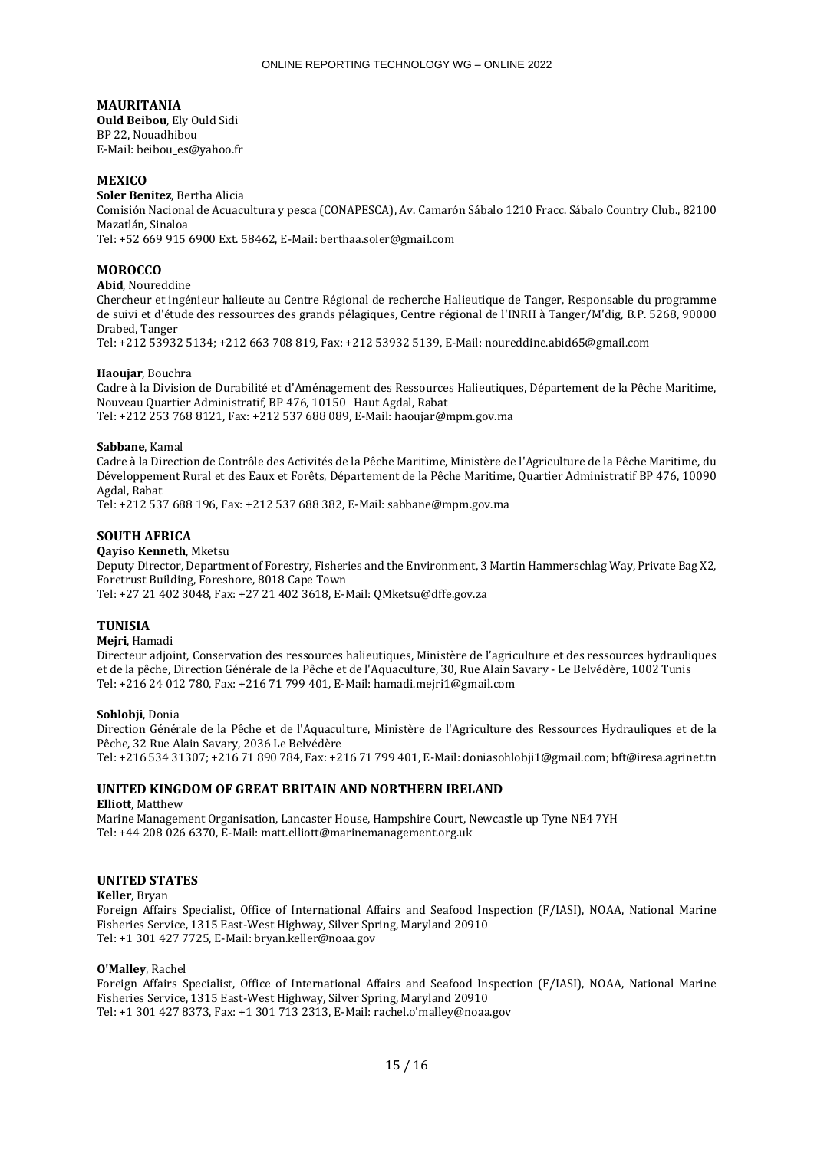## **MAURITANIA**

**Ould Beibou**, Ely Ould Sidi BP 22, Nouadhibou E-Mail: beibou\_es@yahoo.fr

## **MEXICO**

**Soler Benitez**, Bertha Alicia Comisión Nacional de Acuacultura y pesca (CONAPESCA), Av. Camarón Sábalo 1210 Fracc. Sábalo Country Club., 82100 Mazatlán, Sinaloa

Tel: +52 669 915 6900 Ext. 58462, E-Mail: berthaa.soler@gmail.com

## **MOROCCO**

## **Abid**, Noureddine

Chercheur et ingénieur halieute au Centre Régional de recherche Halieutique de Tanger, Responsable du programme de suivi et d'étude des ressources des grands pélagiques, Centre régional de l'INRH à Tanger/M'dig, B.P. 5268, 90000 Drabed, Tanger

Tel: +212 53932 5134; +212 663 708 819, Fax: +212 53932 5139, E-Mail: noureddine.abid65@gmail.com

#### **Haoujar**, Bouchra

Cadre à la Division de Durabilité et d'Aménagement des Ressources Halieutiques, Département de la Pêche Maritime, Nouveau Quartier Administratif, BP 476, 10150 Haut Agdal, Rabat Tel: +212 253 768 8121, Fax: +212 537 688 089, E-Mail: haoujar@mpm.gov.ma

#### **Sabbane**, Kamal

Cadre à la Direction de Contrôle des Activités de la Pêche Maritime, Ministère de l'Agriculture de la Pêche Maritime, du Développement Rural et des Eaux et Forêts, Département de la Pêche Maritime, Quartier Administratif BP 476, 10090 Agdal, Rabat

Tel: +212 537 688 196, Fax: +212 537 688 382, E-Mail: sabbane@mpm.gov.ma

## **SOUTH AFRICA**

#### **Qayiso Kenneth**, Mketsu

Deputy Director, Department of Forestry, Fisheries and the Environment, 3 Martin Hammerschlag Way, Private Bag X2, Foretrust Building, Foreshore, 8018 Cape Town

Tel: +27 21 402 3048, Fax: +27 21 402 3618, E-Mail: QMketsu@dffe.gov.za

## **TUNISIA**

#### **Mejri**, Hamadi

Directeur adjoint, Conservation des ressources halieutiques, Ministère de l'agriculture et des ressources hydrauliques et de la pêche, Direction Générale de la Pêche et de l'Aquaculture, 30, Rue Alain Savary - Le Belvédère, 1002 Tunis Tel: +216 24 012 780, Fax: +216 71 799 401, E-Mail: hamadi.mejri1@gmail.com

#### **Sohlobji**, Donia

Direction Générale de la Pêche et de l'Aquaculture, Ministère de l'Agriculture des Ressources Hydrauliques et de la Pêche, 32 Rue Alain Savary, 2036 Le Belvédère

Tel: +216 534 31307; +216 71 890 784, Fax: +216 71 799 401, E-Mail: doniasohlobji1@gmail.com; bft@iresa.agrinet.tn

## **UNITED KINGDOM OF GREAT BRITAIN AND NORTHERN IRELAND**

#### **Elliott**, Matthew

Marine Management Organisation, Lancaster House, Hampshire Court, Newcastle up Tyne NE4 7YH Tel: +44 208 026 6370, E-Mail: matt.elliott@marinemanagement.org.uk

## **UNITED STATES**

#### **Keller**, Bryan

Foreign Affairs Specialist, Office of International Affairs and Seafood Inspection (F/IASI), NOAA, National Marine Fisheries Service, 1315 East-West Highway, Silver Spring, Maryland 20910 Tel: +1 301 427 7725, E-Mail: bryan.keller@noaa.gov

#### **O'Malley**, Rachel

Foreign Affairs Specialist, Office of International Affairs and Seafood Inspection (F/IASI), NOAA, National Marine Fisheries Service, 1315 East-West Highway, Silver Spring, Maryland 20910 Tel: +1 301 427 8373, Fax: +1 301 713 2313, E-Mail: rachel.o'malley@noaa.gov